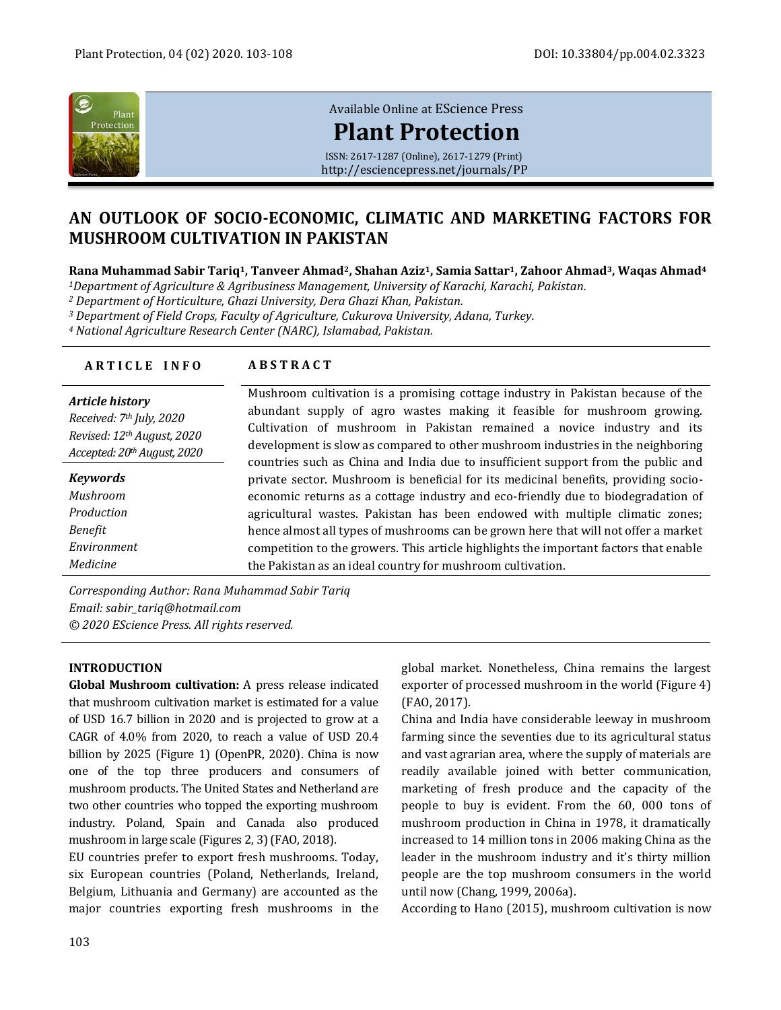

[Available Online at](http://esciencepress.net/journals/PP) EScience Press

# **[Plant Protection](http://esciencepress.net/journals/PP)**

ISSN: 2617-1287 (Online), 2617-1279 (Print) <http://esciencepress.net/journals/PP>

## **AN OUTLOOK OF SOCIO-ECONOMIC, CLIMATIC AND MARKETING FACTORS FOR MUSHROOM CULTIVATION IN PAKISTAN**

**Rana Muhammad Sabir Tariq1, Tanveer Ahmad2, Shahan Aziz1, Samia Sattar1, Zahoor Ahmad3, Waqas Ahmad<sup>4</sup>**

*<sup>1</sup>Department of Agriculture & Agribusiness Management, University of Karachi, Karachi, Pakistan.*

*<sup>2</sup> Department of Horticulture, Ghazi University, Dera Ghazi Khan, Pakistan.*

*<sup>3</sup> Department of Field Crops, Faculty of Agriculture, Cukurova University, Adana, Turkey.*

*<sup>4</sup> National Agriculture Research Center (NARC), Islamabad, Pakistan.*

| <b>ARTICLE INFO</b>                                                       | <b>ABSTRACT</b>                                                                                                                                                                                                                                                                                                         |
|---------------------------------------------------------------------------|-------------------------------------------------------------------------------------------------------------------------------------------------------------------------------------------------------------------------------------------------------------------------------------------------------------------------|
| Article history<br>Received: 7th July, 2020<br>Revised: 12th August, 2020 | Mushroom cultivation is a promising cottage industry in Pakistan because of the<br>abundant supply of agro wastes making it feasible for mushroom growing.<br>Cultivation of mushroom in Pakistan remained a novice industry and its<br>development is slow as compared to other mushroom industries in the neighboring |
| Accepted: 20th August, 2020                                               | countries such as China and India due to insufficient support from the public and                                                                                                                                                                                                                                       |
| Keywords                                                                  | private sector. Mushroom is beneficial for its medicinal benefits, providing socio-                                                                                                                                                                                                                                     |
| Mushroom                                                                  | economic returns as a cottage industry and eco-friendly due to biodegradation of                                                                                                                                                                                                                                        |
| Production                                                                | agricultural wastes. Pakistan has been endowed with multiple climatic zones;                                                                                                                                                                                                                                            |
| Benefit                                                                   | hence almost all types of mushrooms can be grown here that will not offer a market                                                                                                                                                                                                                                      |
| Environment                                                               | competition to the growers. This article highlights the important factors that enable                                                                                                                                                                                                                                   |
| Medicine                                                                  | the Pakistan as an ideal country for mushroom cultivation.                                                                                                                                                                                                                                                              |

*Corresponding Author: Rana Muhammad Sabir Tariq Email: sabir\_tariq@hotmail.com © 2020 EScience Press. All rights reserved.*

#### **INTRODUCTION**

**Global Mushroom cultivation:** A press release indicated that mushroom cultivation market is estimated for a value of USD 16.7 billion in 2020 and is projected to grow at a CAGR of 4.0% from 2020, to reach a value of USD 20.4 billion by 2025 (Figure 1) (OpenPR, 2020). China is now one of the top three producers and consumers of mushroom products. The United States and Netherland are two other countries who topped the exporting mushroom industry. Poland, Spain and Canada also produced mushroom in large scale (Figures 2, 3) (FAO, 2018).

EU countries prefer to export fresh mushrooms. Today, six European countries (Poland, Netherlands, Ireland, Belgium, Lithuania and Germany) are accounted as the major countries exporting fresh mushrooms in the global market. Nonetheless, China remains the largest exporter of processed mushroom in the world (Figure 4) (FAO, 2017).

China and India have considerable leeway in mushroom farming since the seventies due to its agricultural status and vast agrarian area, where the supply of materials are readily available joined with better communication, marketing of fresh produce and the capacity of the people to buy is evident. From the 60, 000 tons of mushroom production in China in 1978, it dramatically increased to 14 million tons in 2006 making China as the leader in the mushroom industry and it's thirty million people are the top mushroom consumers in the world until now (Chang, 1999, 2006a).

According to Hano (2015), mushroom cultivation is now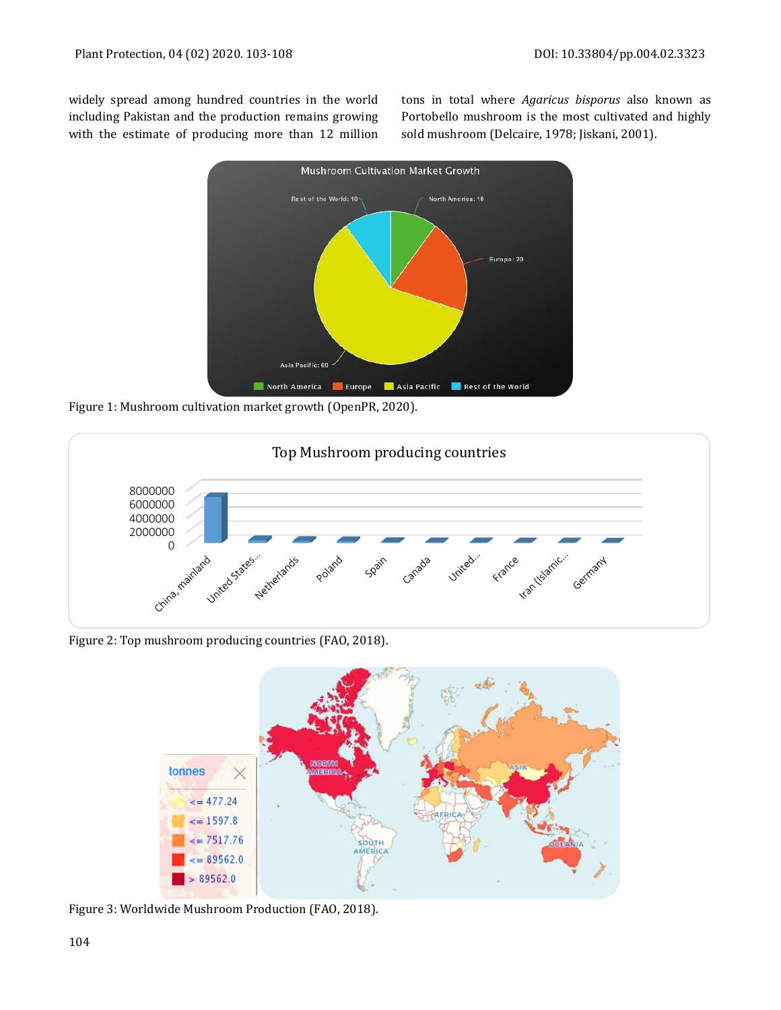widely spread among hundred countries in the world including Pakistan and the production remains growing with the estimate of producing more than 12 million tons in total where *Agaricus bisporus* also known as Portobello mushroom is the most cultivated and highly sold mushroom (Delcaire, 1978; Jiskani, 2001).



Figure 1: Mushroom cultivation market growth (OpenPR, 2020).



Figure 2: Top mushroom producing countries (FAO, 2018).



Figure 3: Worldwide Mushroom Production (FAO, 2018).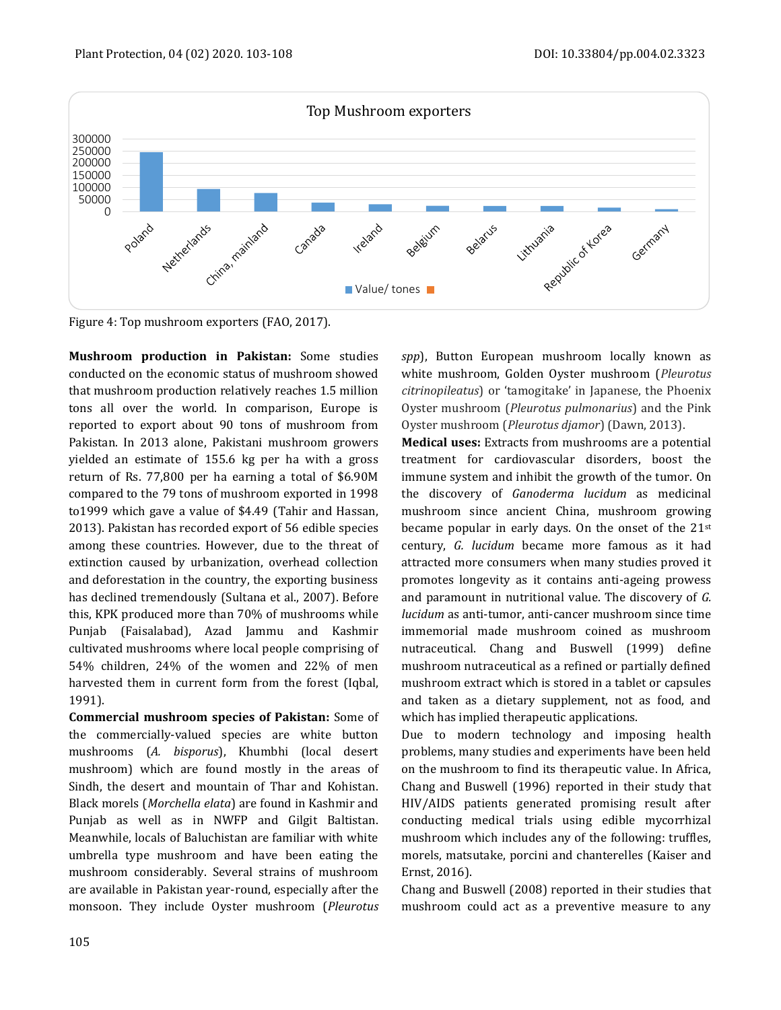

Figure 4: Top mushroom exporters (FAO, 2017).

**Mushroom production in Pakistan:** Some studies conducted on the economic status of mushroom showed that mushroom production relatively reaches 1.5 million tons all over the world. In comparison, Europe is reported to export about 90 tons of mushroom from Pakistan. In 2013 alone, Pakistani mushroom growers yielded an estimate of 155.6 kg per ha with a gross return of Rs. 77,800 per ha earning a total of \$6.90M compared to the 79 tons of mushroom exported in 1998 to1999 which gave a value of \$4.49 (Tahir and Hassan, 2013). Pakistan has recorded export of 56 edible species among these countries. However, due to the threat of extinction caused by urbanization, overhead collection and deforestation in the country, the exporting business has declined tremendously (Sultana et al., 2007). Before this, KPK produced more than 70% of mushrooms while Punjab (Faisalabad), Azad Jammu and Kashmir cultivated mushrooms where local people comprising of 54% children, 24% of the women and 22% of men harvested them in current form from the forest (Iqbal, 1991).

**Commercial mushroom species of Pakistan:** Some of the commercially-valued species are white button mushrooms (*A. bisporus*), Khumbhi (local desert mushroom) which are found mostly in the areas of Sindh, the desert and mountain of Thar and Kohistan. Black morels (*Morchella elata*) are found in Kashmir and Punjab as well as in NWFP and Gilgit Baltistan. Meanwhile, locals of Baluchistan are familiar with white umbrella type mushroom and have been eating the mushroom considerably. Several strains of mushroom are available in Pakistan year-round, especially after the monsoon. They include Oyster mushroom (*Pleurotus* 

*spp*), Button European mushroom locally known as white mushroom, Golden Oyster mushroom (*Pleurotus citrinopileatus*) or 'tamogitake' in Japanese, the Phoenix Oyster mushroom (*Pleurotus pulmonarius*) and the Pink Oyster mushroom (*Pleurotus djamor*) (Dawn, 2013).

**Medical uses:** Extracts from mushrooms are a potential treatment for cardiovascular disorders, boost the immune system and inhibit the growth of the tumor. On the discovery of *Ganoderma lucidum* as medicinal mushroom since ancient China, mushroom growing became popular in early days. On the onset of the  $21^{st}$ century, *G. lucidum* became more famous as it had attracted more consumers when many studies proved it promotes longevity as it contains anti-ageing prowess and paramount in nutritional value. The discovery of *G. lucidum* as anti-tumor, anti-cancer mushroom since time immemorial made mushroom coined as mushroom nutraceutical. Chang and Buswell (1999) define mushroom nutraceutical as a refined or partially defined mushroom extract which is stored in a tablet or capsules and taken as a dietary supplement, not as food, and which has implied therapeutic applications.

Due to modern technology and imposing health problems, many studies and experiments have been held on the mushroom to find its therapeutic value. In Africa, Chang and Buswell (1996) reported in their study that HIV/AIDS patients generated promising result after conducting medical trials using edible mycorrhizal mushroom which includes any of the following: truffles, morels, matsutake, porcini and chanterelles (Kaiser and Ernst, 2016).

Chang and Buswell (2008) reported in their studies that mushroom could act as a preventive measure to any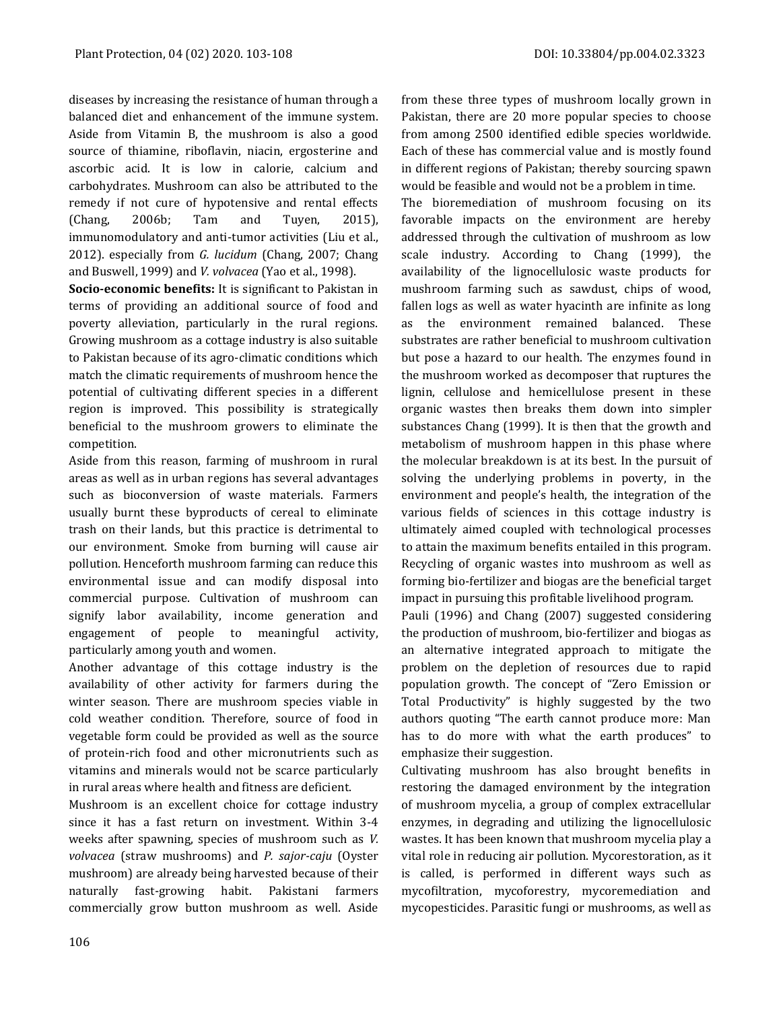diseases by increasing the resistance of human through a balanced diet and enhancement of the immune system. Aside from Vitamin B, the mushroom is also a good source of thiamine, riboflavin, niacin, ergosterine and ascorbic acid. It is low in calorie, calcium and carbohydrates. Mushroom can also be attributed to the remedy if not cure of hypotensive and rental effects (Chang, 2006b; Tam and Tuyen, 2015), immunomodulatory and anti-tumor activities (Liu et al., 2012). especially from *G. lucidum* (Chang, 2007; Chang and Buswell, 1999) and *V. volvacea* (Yao et al., 1998).

**Socio-economic benefits:** It is significant to Pakistan in terms of providing an additional source of food and poverty alleviation, particularly in the rural regions. Growing mushroom as a cottage industry is also suitable to Pakistan because of its agro-climatic conditions which match the climatic requirements of mushroom hence the potential of cultivating different species in a different region is improved. This possibility is strategically beneficial to the mushroom growers to eliminate the competition.

Aside from this reason, farming of mushroom in rural areas as well as in urban regions has several advantages such as bioconversion of waste materials. Farmers usually burnt these byproducts of cereal to eliminate trash on their lands, but this practice is detrimental to our environment. Smoke from burning will cause air pollution. Henceforth mushroom farming can reduce this environmental issue and can modify disposal into commercial purpose. Cultivation of mushroom can signify labor availability, income generation and engagement of people to meaningful activity, particularly among youth and women.

Another advantage of this cottage industry is the availability of other activity for farmers during the winter season. There are mushroom species viable in cold weather condition. Therefore, source of food in vegetable form could be provided as well as the source of protein-rich food and other micronutrients such as vitamins and minerals would not be scarce particularly in rural areas where health and fitness are deficient.

Mushroom is an excellent choice for cottage industry since it has a fast return on investment. Within 3-4 weeks after spawning, species of mushroom such as *V. volvacea* (straw mushrooms) and *P. sajor-caju* (Oyster mushroom) are already being harvested because of their naturally fast-growing habit. Pakistani farmers commercially grow button mushroom as well. Aside from these three types of mushroom locally grown in Pakistan, there are 20 more popular species to choose from among 2500 identified edible species worldwide. Each of these has commercial value and is mostly found in different regions of Pakistan; thereby sourcing spawn would be feasible and would not be a problem in time.

The bioremediation of mushroom focusing on its favorable impacts on the environment are hereby addressed through the cultivation of mushroom as low scale industry. According to Chang (1999), the availability of the lignocellulosic waste products for mushroom farming such as sawdust, chips of wood, fallen logs as well as water hyacinth are infinite as long the environment remained balanced. These substrates are rather beneficial to mushroom cultivation but pose a hazard to our health. The enzymes found in the mushroom worked as decomposer that ruptures the lignin, cellulose and hemicellulose present in these organic wastes then breaks them down into simpler substances Chang (1999). It is then that the growth and metabolism of mushroom happen in this phase where the molecular breakdown is at its best. In the pursuit of solving the underlying problems in poverty, in the environment and people's health, the integration of the various fields of sciences in this cottage industry is ultimately aimed coupled with technological processes to attain the maximum benefits entailed in this program. Recycling of organic wastes into mushroom as well as forming bio-fertilizer and biogas are the beneficial target impact in pursuing this profitable livelihood program.

Pauli (1996) and Chang (2007) suggested considering the production of mushroom, bio-fertilizer and biogas as an alternative integrated approach to mitigate the problem on the depletion of resources due to rapid population growth. The concept of "Zero Emission or Total Productivity" is highly suggested by the two authors quoting "The earth cannot produce more: Man has to do more with what the earth produces" to emphasize their suggestion.

Cultivating mushroom has also brought benefits in restoring the damaged environment by the integration of mushroom mycelia, a group of complex extracellular enzymes, in degrading and utilizing the lignocellulosic wastes. It has been known that mushroom mycelia play a vital role in reducing air pollution. Mycorestoration, as it is called, is performed in different ways such as mycofiltration, mycoforestry, mycoremediation and mycopesticides. Parasitic fungi or mushrooms, as well as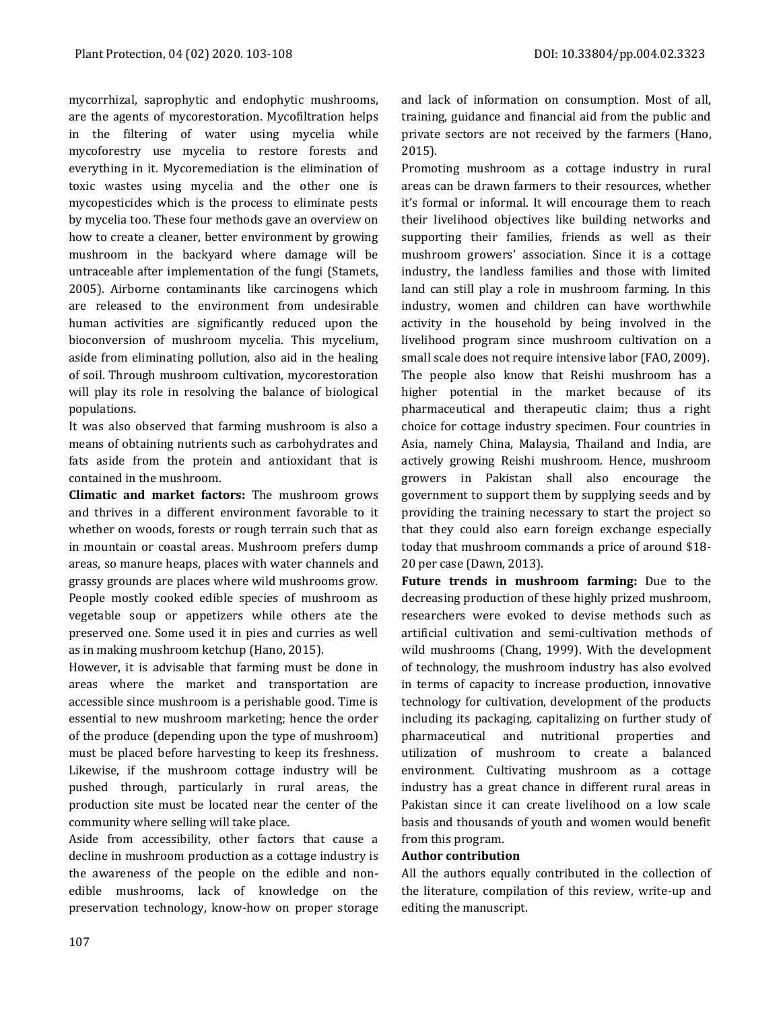mycorrhizal, saprophytic and endophytic mushrooms, are the agents of mycorestoration. Mycofiltration helps in the filtering of water using mycelia while mycoforestry use mycelia to restore forests and everything in it. Mycoremediation is the elimination of toxic wastes using mycelia and the other one is mycopesticides which is the process to eliminate pests by mycelia too. These four methods gave an overview on how to create a cleaner, better environment by growing mushroom in the backyard where damage will be untraceable after implementation of the fungi (Stamets, 2005). Airborne contaminants like carcinogens which are released to the environment from undesirable human activities are significantly reduced upon the bioconversion of mushroom mycelia. This mycelium, aside from eliminating pollution, also aid in the healing of soil. Through mushroom cultivation, mycorestoration will play its role in resolving the balance of biological

It was also observed that farming mushroom is also a means of obtaining nutrients such as carbohydrates and fats aside from the protein and antioxidant that is contained in the mushroom.

**Climatic and market factors:** The mushroom grows and thrives in a different environment favorable to it whether on woods, forests or rough terrain such that as in mountain or coastal areas. Mushroom prefers dump areas, so manure heaps, places with water channels and grassy grounds are places where wild mushrooms grow. People mostly cooked edible species of mushroom as vegetable soup or appetizers while others ate the preserved one. Some used it in pies and curries as well as in making mushroom ketchup (Hano, 2015).

However, it is advisable that farming must be done in areas where the market and transportation are accessible since mushroom is a perishable good. Time is essential to new mushroom marketing; hence the order of the produce (depending upon the type of mushroom) must be placed before harvesting to keep its freshness. Likewise, if the mushroom cottage industry will be pushed through, particularly in rural areas, the production site must be located near the center of the community where selling will take place.

Aside from accessibility, other factors that cause a decline in mushroom production as a cottage industry is the awareness of the people on the edible and nonedible mushrooms, lack of knowledge on the preservation technology, know-how on proper storage Promoting mushroom as a cottage industry in rural areas can be drawn farmers to their resources, whether it's formal or informal. It will encourage them to reach their livelihood objectives like building networks and supporting their families, friends as well as their mushroom growers' association. Since it is a cottage industry, the landless families and those with limited land can still play a role in mushroom farming. In this industry, women and children can have worthwhile activity in the household by being involved in the livelihood program since mushroom cultivation on a small scale does not require intensive labor (FAO, 2009). The people also know that Reishi mushroom has a higher potential in the market because of its pharmaceutical and therapeutic claim; thus a right choice for cottage industry specimen. Four countries in Asia, namely China, Malaysia, Thailand and India, are actively growing Reishi mushroom. Hence, mushroom growers in Pakistan shall also encourage the government to support them by supplying seeds and by providing the training necessary to start the project so that they could also earn foreign exchange especially today that mushroom commands a price of around \$18- 20 per case (Dawn, 2013).

**Future trends in mushroom farming:** Due to the decreasing production of these highly prized mushroom, researchers were evoked to devise methods such as artificial cultivation and semi-cultivation methods of wild mushrooms (Chang, 1999). With the development of technology, the mushroom industry has also evolved in terms of capacity to increase production, innovative technology for cultivation, development of the products including its packaging, capitalizing on further study of pharmaceutical and nutritional properties and utilization of mushroom to create a balanced environment. Cultivating mushroom as a cottage industry has a great chance in different rural areas in Pakistan since it can create livelihood on a low scale basis and thousands of youth and women would benefit from this program.

#### **Author contribution**

All the authors equally contributed in the collection of the literature, compilation of this review, write-up and editing the manuscript.

populations.